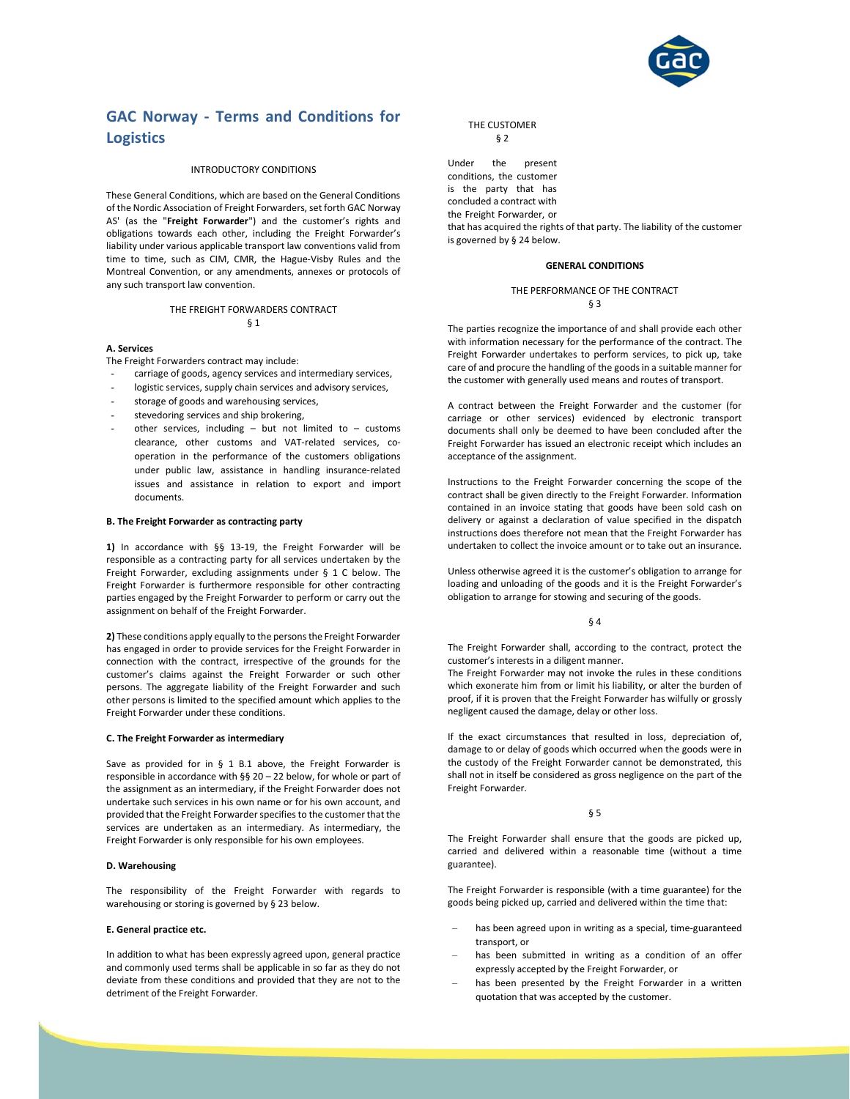

# GAC Norway - Terms and Conditions for **Logistics**

#### INTRODUCTORY CONDITIONS

These General Conditions, which are based on the General Conditions of the Nordic Association of Freight Forwarders, set forth GAC Norway AS' (as the "Freight Forwarder") and the customer's rights and obligations towards each other, including the Freight Forwarder's liability under various applicable transport law conventions valid from time to time, such as CIM, CMR, the Hague-Visby Rules and the Montreal Convention, or any amendments, annexes or protocols of any such transport law convention.

#### THE FREIGHT FORWARDERS CONTRACT § 1

#### A. Services

The Freight Forwarders contract may include:

- carriage of goods, agency services and intermediary services,
- logistic services, supply chain services and advisory services,
- storage of goods and warehousing services,
- stevedoring services and ship brokering.
- other services, including but not limited to customs clearance, other customs and VAT-related services, cooperation in the performance of the customers obligations under public law, assistance in handling insurance-related issues and assistance in relation to export and import documents.

#### B. The Freight Forwarder as contracting party

1) In accordance with §§ 13-19, the Freight Forwarder will be responsible as a contracting party for all services undertaken by the Freight Forwarder, excluding assignments under § 1 C below. The Freight Forwarder is furthermore responsible for other contracting parties engaged by the Freight Forwarder to perform or carry out the assignment on behalf of the Freight Forwarder.

2) These conditions apply equally to the persons the Freight Forwarder has engaged in order to provide services for the Freight Forwarder in connection with the contract, irrespective of the grounds for the customer's claims against the Freight Forwarder or such other persons. The aggregate liability of the Freight Forwarder and such other persons is limited to the specified amount which applies to the Freight Forwarder under these conditions.

#### C. The Freight Forwarder as intermediary

Save as provided for in § 1 B.1 above, the Freight Forwarder is responsible in accordance with §§ 20 – 22 below, for whole or part of the assignment as an intermediary, if the Freight Forwarder does not undertake such services in his own name or for his own account, and provided that the Freight Forwarder specifies to the customer that the services are undertaken as an intermediary. As intermediary, the Freight Forwarder is only responsible for his own employees.

### D. Warehousing

The responsibility of the Freight Forwarder with regards to warehousing or storing is governed by § 23 below.

#### E. General practice etc.

In addition to what has been expressly agreed upon, general practice and commonly used terms shall be applicable in so far as they do not deviate from these conditions and provided that they are not to the detriment of the Freight Forwarder.

### THE CUSTOMER § 2

Under the present conditions, the customer is the party that has concluded a contract with the Freight Forwarder, or that has acquired the rights of that party. The liability of the customer is governed by § 24 below.

#### GENERAL CONDITIONS

### THE PERFORMANCE OF THE CONTRACT § 3

The parties recognize the importance of and shall provide each other with information necessary for the performance of the contract. The Freight Forwarder undertakes to perform services, to pick up, take care of and procure the handling of the goods in a suitable manner for the customer with generally used means and routes of transport.

A contract between the Freight Forwarder and the customer (for carriage or other services) evidenced by electronic transport documents shall only be deemed to have been concluded after the Freight Forwarder has issued an electronic receipt which includes an acceptance of the assignment.

Instructions to the Freight Forwarder concerning the scope of the contract shall be given directly to the Freight Forwarder. Information contained in an invoice stating that goods have been sold cash on delivery or against a declaration of value specified in the dispatch instructions does therefore not mean that the Freight Forwarder has undertaken to collect the invoice amount or to take out an insurance.

Unless otherwise agreed it is the customer's obligation to arrange for loading and unloading of the goods and it is the Freight Forwarder's obligation to arrange for stowing and securing of the goods.

#### § 4

The Freight Forwarder shall, according to the contract, protect the customer's interests in a diligent manner.

The Freight Forwarder may not invoke the rules in these conditions which exonerate him from or limit his liability, or alter the burden of proof, if it is proven that the Freight Forwarder has wilfully or grossly negligent caused the damage, delay or other loss.

If the exact circumstances that resulted in loss, depreciation of, damage to or delay of goods which occurred when the goods were in the custody of the Freight Forwarder cannot be demonstrated, this shall not in itself be considered as gross negligence on the part of the Freight Forwarder.

#### § 5

The Freight Forwarder shall ensure that the goods are picked up, carried and delivered within a reasonable time (without a time guarantee).

The Freight Forwarder is responsible (with a time guarantee) for the goods being picked up, carried and delivered within the time that:

- has been agreed upon in writing as a special, time-guaranteed transport, or
- has been submitted in writing as a condition of an offer expressly accepted by the Freight Forwarder, or
- has been presented by the Freight Forwarder in a written quotation that was accepted by the customer.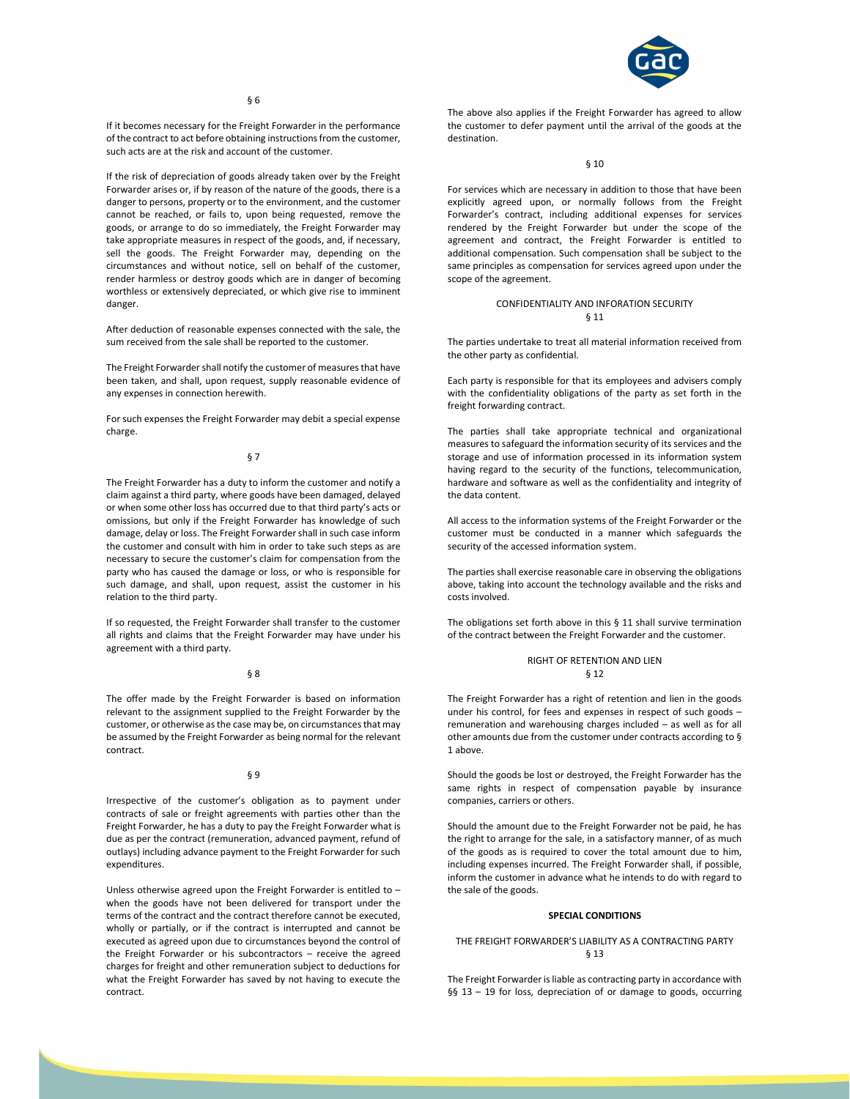

If it becomes necessary for the Freight Forwarder in the performance of the contract to act before obtaining instructions from the customer, such acts are at the risk and account of the customer.

If the risk of depreciation of goods already taken over by the Freight Forwarder arises or, if by reason of the nature of the goods, there is a danger to persons, property or to the environment, and the customer cannot be reached, or fails to, upon being requested, remove the goods, or arrange to do so immediately, the Freight Forwarder may take appropriate measures in respect of the goods, and, if necessary, sell the goods. The Freight Forwarder may, depending on the circumstances and without notice, sell on behalf of the customer, render harmless or destroy goods which are in danger of becoming worthless or extensively depreciated, or which give rise to imminent danger.

After deduction of reasonable expenses connected with the sale, the sum received from the sale shall be reported to the customer.

The Freight Forwarder shall notify the customer of measures that have been taken, and shall, upon request, supply reasonable evidence of any expenses in connection herewith.

For such expenses the Freight Forwarder may debit a special expense charge.

### § 7

The Freight Forwarder has a duty to inform the customer and notify a claim against a third party, where goods have been damaged, delayed or when some other loss has occurred due to that third party's acts or omissions, but only if the Freight Forwarder has knowledge of such damage, delay or loss. The Freight Forwarder shall in such case inform the customer and consult with him in order to take such steps as are necessary to secure the customer's claim for compensation from the party who has caused the damage or loss, or who is responsible for such damage, and shall, upon request, assist the customer in his relation to the third party.

If so requested, the Freight Forwarder shall transfer to the customer all rights and claims that the Freight Forwarder may have under his agreement with a third party.

#### § 8

The offer made by the Freight Forwarder is based on information relevant to the assignment supplied to the Freight Forwarder by the customer, or otherwise as the case may be, on circumstances that may be assumed by the Freight Forwarder as being normal for the relevant contract.

### § 9

Irrespective of the customer's obligation as to payment under contracts of sale or freight agreements with parties other than the Freight Forwarder, he has a duty to pay the Freight Forwarder what is due as per the contract (remuneration, advanced payment, refund of outlays) including advance payment to the Freight Forwarder for such expenditures.

Unless otherwise agreed upon the Freight Forwarder is entitled to – when the goods have not been delivered for transport under the terms of the contract and the contract therefore cannot be executed, wholly or partially, or if the contract is interrupted and cannot be executed as agreed upon due to circumstances beyond the control of the Freight Forwarder or his subcontractors – receive the agreed charges for freight and other remuneration subject to deductions for what the Freight Forwarder has saved by not having to execute the contract.

The above also applies if the Freight Forwarder has agreed to allow the customer to defer payment until the arrival of the goods at the destination.

#### § 10

For services which are necessary in addition to those that have been explicitly agreed upon, or normally follows from the Freight Forwarder's contract, including additional expenses for services rendered by the Freight Forwarder but under the scope of the agreement and contract, the Freight Forwarder is entitled to additional compensation. Such compensation shall be subject to the same principles as compensation for services agreed upon under the scope of the agreement.

### CONFIDENTIALITY AND INFORATION SECURITY § 11

The parties undertake to treat all material information received from the other party as confidential.

Each party is responsible for that its employees and advisers comply with the confidentiality obligations of the party as set forth in the freight forwarding contract.

The parties shall take appropriate technical and organizational measures to safeguard the information security of its services and the storage and use of information processed in its information system having regard to the security of the functions, telecommunication, hardware and software as well as the confidentiality and integrity of the data content.

All access to the information systems of the Freight Forwarder or the customer must be conducted in a manner which safeguards the security of the accessed information system.

The parties shall exercise reasonable care in observing the obligations above, taking into account the technology available and the risks and costs involved.

The obligations set forth above in this  $\S$  11 shall survive termination of the contract between the Freight Forwarder and the customer.

# RIGHT OF RETENTION AND LIEN § 12

The Freight Forwarder has a right of retention and lien in the goods under his control, for fees and expenses in respect of such goods – remuneration and warehousing charges included – as well as for all other amounts due from the customer under contracts according to § 1 above.

Should the goods be lost or destroyed, the Freight Forwarder has the same rights in respect of compensation payable by insurance companies, carriers or others.

Should the amount due to the Freight Forwarder not be paid, he has the right to arrange for the sale, in a satisfactory manner, of as much of the goods as is required to cover the total amount due to him, including expenses incurred. The Freight Forwarder shall, if possible, inform the customer in advance what he intends to do with regard to the sale of the goods.

### SPECIAL CONDITIONS

### THE FREIGHT FORWARDER'S LIABILITY AS A CONTRACTING PARTY § 13

The Freight Forwarder is liable as contracting party in accordance with §§ 13 - 19 for loss, depreciation of or damage to goods, occurring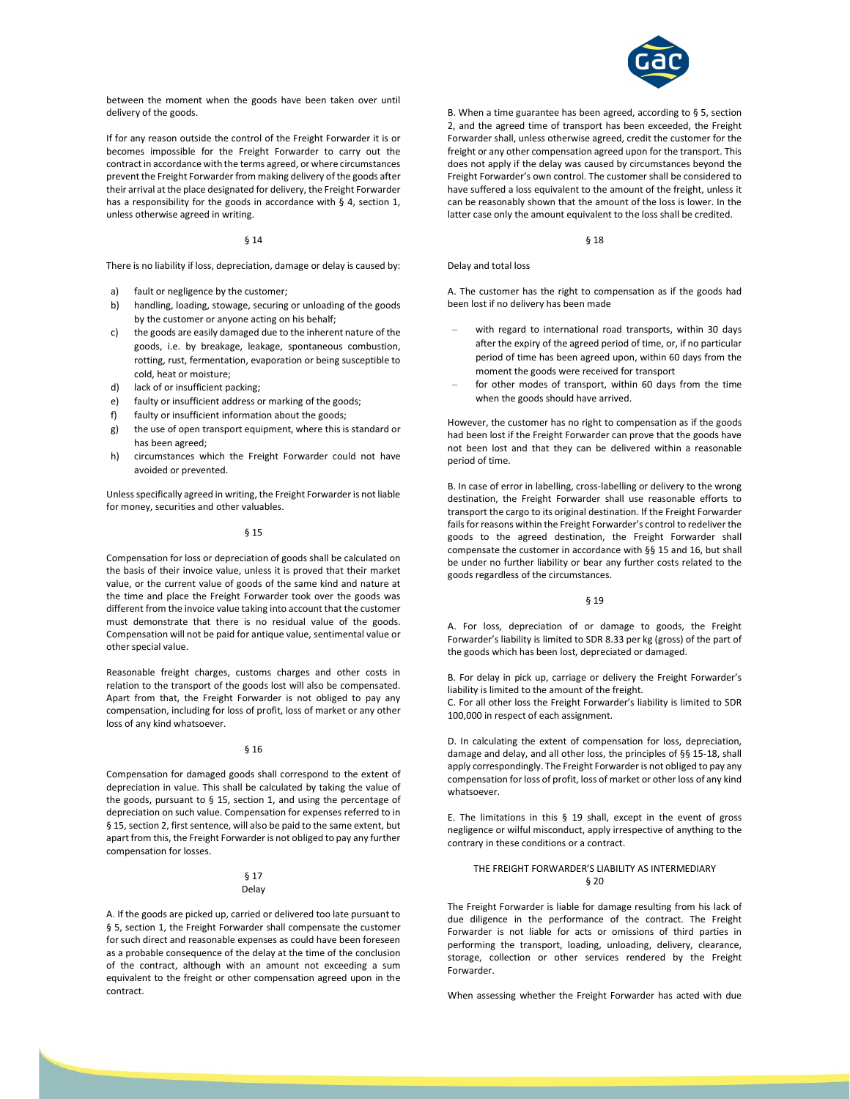

between the moment when the goods have been taken over until delivery of the goods.

If for any reason outside the control of the Freight Forwarder it is or becomes impossible for the Freight Forwarder to carry out the contract in accordance with the terms agreed, or where circumstances prevent the Freight Forwarder from making delivery of the goods after their arrival at the place designated for delivery, the Freight Forwarder has a responsibility for the goods in accordance with § 4, section 1, unless otherwise agreed in writing.

#### § 14

There is no liability if loss, depreciation, damage or delay is caused by:

- fault or negligence by the customer;
- b) handling, loading, stowage, securing or unloading of the goods by the customer or anyone acting on his behalf;
- the goods are easily damaged due to the inherent nature of the goods, i.e. by breakage, leakage, spontaneous combustion, rotting, rust, fermentation, evaporation or being susceptible to cold, heat or moisture;
- d) lack of or insufficient packing;
- e) faulty or insufficient address or marking of the goods;
- f) faulty or insufficient information about the goods;
- g) the use of open transport equipment, where this is standard or has been agreed;
- h) circumstances which the Freight Forwarder could not have avoided or prevented.

Unless specifically agreed in writing, the Freight Forwarder is not liable for money, securities and other valuables.

### § 15

Compensation for loss or depreciation of goods shall be calculated on the basis of their invoice value, unless it is proved that their market value, or the current value of goods of the same kind and nature at the time and place the Freight Forwarder took over the goods was different from the invoice value taking into account that the customer must demonstrate that there is no residual value of the goods. Compensation will not be paid for antique value, sentimental value or other special value.

Reasonable freight charges, customs charges and other costs in relation to the transport of the goods lost will also be compensated. Apart from that, the Freight Forwarder is not obliged to pay any compensation, including for loss of profit, loss of market or any other loss of any kind whatsoever.

### § 16

Compensation for damaged goods shall correspond to the extent of depreciation in value. This shall be calculated by taking the value of the goods, pursuant to § 15, section 1, and using the percentage of depreciation on such value. Compensation for expenses referred to in § 15, section 2, first sentence, will also be paid to the same extent, but apart from this, the Freight Forwarder is not obliged to pay any further compensation for losses.

### § 17 Delay

A. If the goods are picked up, carried or delivered too late pursuant to § 5, section 1, the Freight Forwarder shall compensate the customer for such direct and reasonable expenses as could have been foreseen as a probable consequence of the delay at the time of the conclusion of the contract, although with an amount not exceeding a sum equivalent to the freight or other compensation agreed upon in the contract.

B. When a time guarantee has been agreed, according to § 5, section 2, and the agreed time of transport has been exceeded, the Freight Forwarder shall, unless otherwise agreed, credit the customer for the freight or any other compensation agreed upon for the transport. This does not apply if the delay was caused by circumstances beyond the Freight Forwarder's own control. The customer shall be considered to have suffered a loss equivalent to the amount of the freight, unless it can be reasonably shown that the amount of the loss is lower. In the latter case only the amount equivalent to the loss shall be credited.

§ 18

### Delay and total loss

A. The customer has the right to compensation as if the goods had been lost if no delivery has been made

- with regard to international road transports, within 30 days after the expiry of the agreed period of time, or, if no particular period of time has been agreed upon, within 60 days from the moment the goods were received for transport
- for other modes of transport, within 60 days from the time when the goods should have arrived.

However, the customer has no right to compensation as if the goods had been lost if the Freight Forwarder can prove that the goods have not been lost and that they can be delivered within a reasonable period of time.

B. In case of error in labelling, cross-labelling or delivery to the wrong destination, the Freight Forwarder shall use reasonable efforts to transport the cargo to its original destination. If the Freight Forwarder fails for reasons within the Freight Forwarder's control to redeliver the goods to the agreed destination, the Freight Forwarder shall compensate the customer in accordance with §§ 15 and 16, but shall be under no further liability or bear any further costs related to the goods regardless of the circumstances.

### § 19

A. For loss, depreciation of or damage to goods, the Freight Forwarder's liability is limited to SDR 8.33 per kg (gross) of the part of the goods which has been lost, depreciated or damaged.

B. For delay in pick up, carriage or delivery the Freight Forwarder's liability is limited to the amount of the freight.

C. For all other loss the Freight Forwarder's liability is limited to SDR 100,000 in respect of each assignment.

D. In calculating the extent of compensation for loss, depreciation, damage and delay, and all other loss, the principles of §§ 15-18, shall apply correspondingly. The Freight Forwarder is not obliged to pay any compensation for loss of profit, loss of market or other loss of any kind whatsoever.

E. The limitations in this § 19 shall, except in the event of gross negligence or wilful misconduct, apply irrespective of anything to the contrary in these conditions or a contract.

# THE FREIGHT FORWARDER'S LIABILITY AS INTERMEDIARY § 20

The Freight Forwarder is liable for damage resulting from his lack of due diligence in the performance of the contract. The Freight Forwarder is not liable for acts or omissions of third parties in performing the transport, loading, unloading, delivery, clearance, storage, collection or other services rendered by the Freight Forwarder.

When assessing whether the Freight Forwarder has acted with due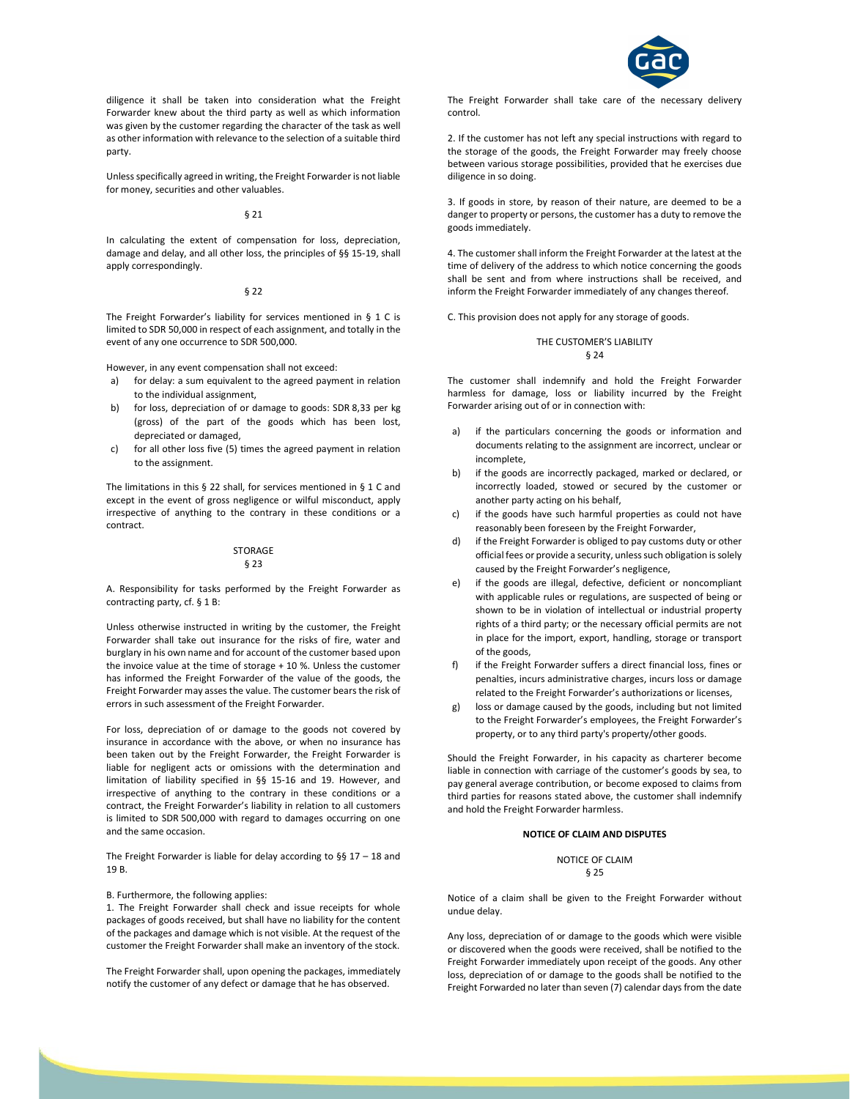

diligence it shall be taken into consideration what the Freight Forwarder knew about the third party as well as which information was given by the customer regarding the character of the task as well as other information with relevance to the selection of a suitable third party.

Unless specifically agreed in writing, the Freight Forwarder is not liable for money, securities and other valuables.

### § 21

In calculating the extent of compensation for loss, depreciation, damage and delay, and all other loss, the principles of §§ 15-19, shall apply correspondingly.

## § 22

The Freight Forwarder's liability for services mentioned in § 1 C is limited to SDR 50,000 in respect of each assignment, and totally in the event of any one occurrence to SDR 500,000.

However, in any event compensation shall not exceed:

- a) for delay: a sum equivalent to the agreed payment in relation to the individual assignment,
- b) for loss, depreciation of or damage to goods: SDR 8,33 per kg (gross) of the part of the goods which has been lost, depreciated or damaged,
- c) for all other loss five (5) times the agreed payment in relation to the assignment.

The limitations in this § 22 shall, for services mentioned in § 1 C and except in the event of gross negligence or wilful misconduct, apply irrespective of anything to the contrary in these conditions or a contract.

#### **STORAGE** § 23

A. Responsibility for tasks performed by the Freight Forwarder as contracting party, cf. § 1 B:

Unless otherwise instructed in writing by the customer, the Freight Forwarder shall take out insurance for the risks of fire, water and burglary in his own name and for account of the customer based upon the invoice value at the time of storage + 10 %. Unless the customer has informed the Freight Forwarder of the value of the goods, the Freight Forwarder may asses the value. The customer bears the risk of errors in such assessment of the Freight Forwarder.

For loss, depreciation of or damage to the goods not covered by insurance in accordance with the above, or when no insurance has been taken out by the Freight Forwarder, the Freight Forwarder is liable for negligent acts or omissions with the determination and limitation of liability specified in §§ 15-16 and 19. However, and irrespective of anything to the contrary in these conditions or a contract, the Freight Forwarder's liability in relation to all customers is limited to SDR 500,000 with regard to damages occurring on one and the same occasion.

The Freight Forwarder is liable for delay according to §§ 17 – 18 and 19 B.

B. Furthermore, the following applies:

1. The Freight Forwarder shall check and issue receipts for whole packages of goods received, but shall have no liability for the content of the packages and damage which is not visible. At the request of the customer the Freight Forwarder shall make an inventory of the stock.

The Freight Forwarder shall, upon opening the packages, immediately notify the customer of any defect or damage that he has observed.

The Freight Forwarder shall take care of the necessary delivery control.

2. If the customer has not left any special instructions with regard to the storage of the goods, the Freight Forwarder may freely choose between various storage possibilities, provided that he exercises due diligence in so doing.

3. If goods in store, by reason of their nature, are deemed to be a danger to property or persons, the customer has a duty to remove the goods immediately.

4. The customer shall inform the Freight Forwarder at the latest at the time of delivery of the address to which notice concerning the goods shall be sent and from where instructions shall be received, and inform the Freight Forwarder immediately of any changes thereof.

C. This provision does not apply for any storage of goods.

# THE CUSTOMER'S LIABILITY § 24

The customer shall indemnify and hold the Freight Forwarder harmless for damage, loss or liability incurred by the Freight Forwarder arising out of or in connection with:

- if the particulars concerning the goods or information and documents relating to the assignment are incorrect, unclear or incomplete,
- b) if the goods are incorrectly packaged, marked or declared, or incorrectly loaded, stowed or secured by the customer or another party acting on his behalf,
- c) if the goods have such harmful properties as could not have reasonably been foreseen by the Freight Forwarder,
- d) if the Freight Forwarder is obliged to pay customs duty or other official fees or provide a security, unless such obligation is solely caused by the Freight Forwarder's negligence,
- e) if the goods are illegal, defective, deficient or noncompliant with applicable rules or regulations, are suspected of being or shown to be in violation of intellectual or industrial property rights of a third party; or the necessary official permits are not in place for the import, export, handling, storage or transport of the goods,
- if the Freight Forwarder suffers a direct financial loss, fines or penalties, incurs administrative charges, incurs loss or damage related to the Freight Forwarder's authorizations or licenses,
- loss or damage caused by the goods, including but not limited to the Freight Forwarder's employees, the Freight Forwarder's property, or to any third party's property/other goods.

Should the Freight Forwarder, in his capacity as charterer become liable in connection with carriage of the customer's goods by sea, to pay general average contribution, or become exposed to claims from third parties for reasons stated above, the customer shall indemnify and hold the Freight Forwarder harmless.

### NOTICE OF CLAIM AND DISPUTES

NOTICE OF CLAIM § 25

Notice of a claim shall be given to the Freight Forwarder without undue delay.

Any loss, depreciation of or damage to the goods which were visible or discovered when the goods were received, shall be notified to the Freight Forwarder immediately upon receipt of the goods. Any other loss, depreciation of or damage to the goods shall be notified to the Freight Forwarded no later than seven (7) calendar days from the date